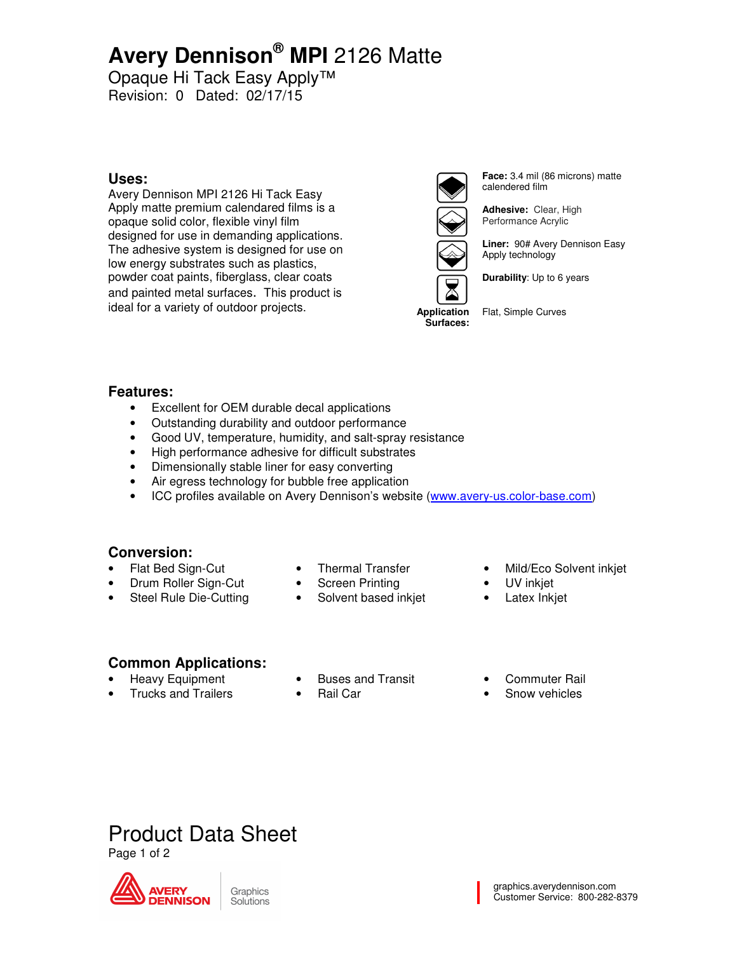# **Avery Dennison® MPI** 2126 Matte

Opaque Hi Tack Easy Apply™ Revision: 0 Dated: 02/17/15

### **Uses:**

Avery Dennison MPI 2126 Hi Tack Easy Apply matte premium calendared films is a opaque solid color, flexible vinyl film designed for use in demanding applications. The adhesive system is designed for use on low energy substrates such as plastics, powder coat paints, fiberglass, clear coats and painted metal surfaces. This product is ideal for a variety of outdoor projects.



**Face:** 3.4 mil (86 microns) matte calendered film

**Adhesive:** Clear, High Performance Acrylic

**Liner:** 90# Avery Dennison Easy Apply technology

**Durability**: Up to 6 years

**Application Surfaces:** 

Flat, Simple Curves

### **Features:**

- Excellent for OEM durable decal applications
- Outstanding durability and outdoor performance
- Good UV, temperature, humidity, and salt-spray resistance
- High performance adhesive for difficult substrates
- Dimensionally stable liner for easy converting
- Air egress technology for bubble free application
- ICC profiles available on Avery Dennison's website (www.avery-us.color-base.com)

### **Conversion:**

• Flat Bed Sign-Cut • Drum Roller Sign-Cut

• Steel Rule Die-Cutting

- Thermal Transfer
- **Screen Printing**
- Solvent based inkjet
- Mild/Eco Solvent inkjet
- UV inkjet
- Latex Inkjet

### **Common Applications:**

- Heavy Equipment
- Trucks and Trailers
- Buses and Transit
- Rail Car
- Commuter Rail
- Snow vehicles

# Product Data Sheet

Page 1 of 2